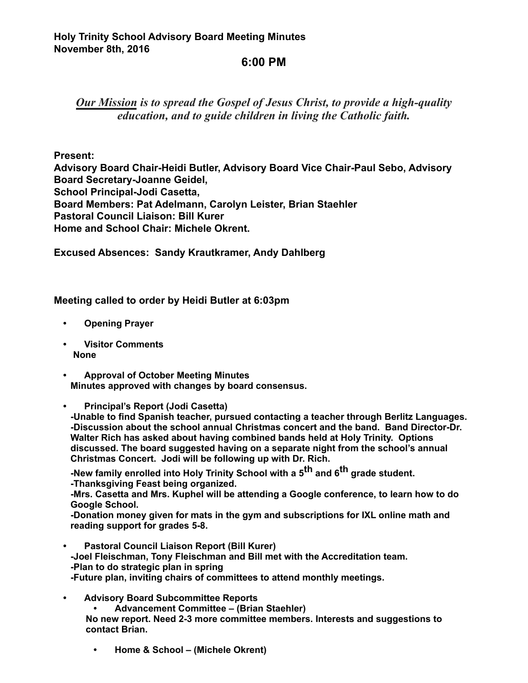## **6:00 PM**

*Our Mission is to spread the Gospel of Jesus Christ, to provide a high-quality education, and to guide children in living the Catholic faith.*

## **Present:**

**Advisory Board Chair-Heidi Butler, Advisory Board Vice Chair-Paul Sebo, Advisory Board Secretary-Joanne Geidel, School Principal-Jodi Casetta, Board Members: Pat Adelmann, Carolyn Leister, Brian Staehler Pastoral Council Liaison: Bill Kurer Home and School Chair: Michele Okrent.** 

**Excused Absences: Sandy Krautkramer, Andy Dahlberg**

## **Meeting called to order by Heidi Butler at 6:03pm**

- **Opening Prayer**
- **Visitor Comments None**
- **Approval of October Meeting Minutes Minutes approved with changes by board consensus.**

**• Principal's Report (Jodi Casetta)**

**-Unable to find Spanish teacher, pursued contacting a teacher through Berlitz Languages. -Discussion about the school annual Christmas concert and the band. Band Director-Dr. Walter Rich has asked about having combined bands held at Holy Trinity. Options discussed. The board suggested having on a separate night from the school's annual Christmas Concert. Jodi will be following up with Dr. Rich.** 

**-New family enrolled into Holy Trinity School with a 5th and 6th grade student. -Thanksgiving Feast being organized.** 

**-Mrs. Casetta and Mrs. Kuphel will be attending a Google conference, to learn how to do Google School.** 

**-Donation money given for mats in the gym and subscriptions for IXL online math and reading support for grades 5-8.** 

- **Pastoral Council Liaison Report (Bill Kurer) -Joel Fleischman, Tony Fleischman and Bill met with the Accreditation team. -Plan to do strategic plan in spring -Future plan, inviting chairs of committees to attend monthly meetings.**
- **Advisory Board Subcommittee Reports • Advancement Committee – (Brian Staehler) No new report. Need 2-3 more committee members. Interests and suggestions to contact Brian.** 
	- **Home & School (Michele Okrent)**